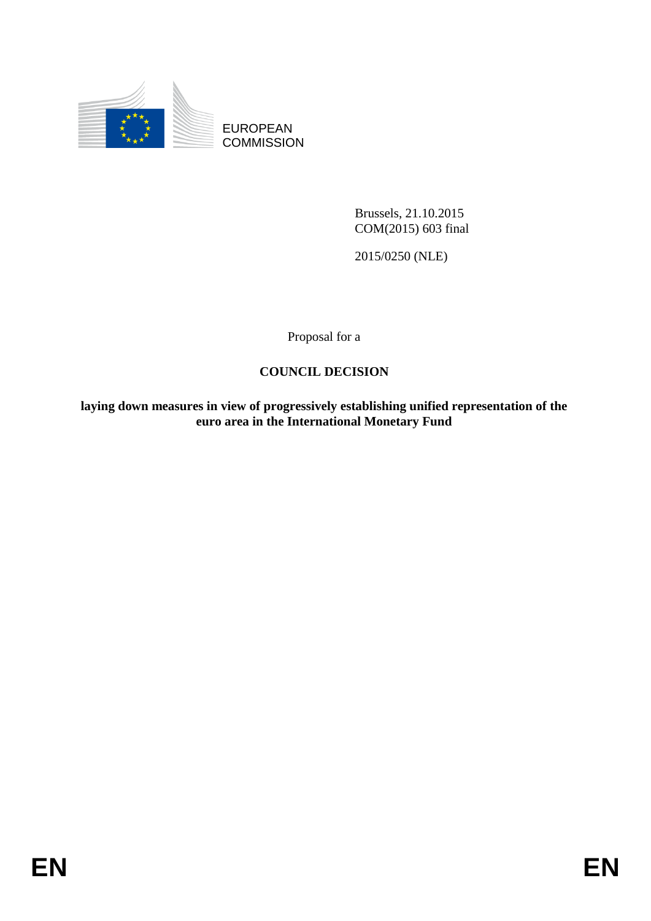

EUROPEAN **COMMISSION** 

> Brussels, 21.10.2015 COM(2015) 603 final

2015/0250 (NLE)

Proposal for a

## **COUNCIL DECISION**

**laying down measures in view of progressively establishing unified representation of the euro area in the International Monetary Fund**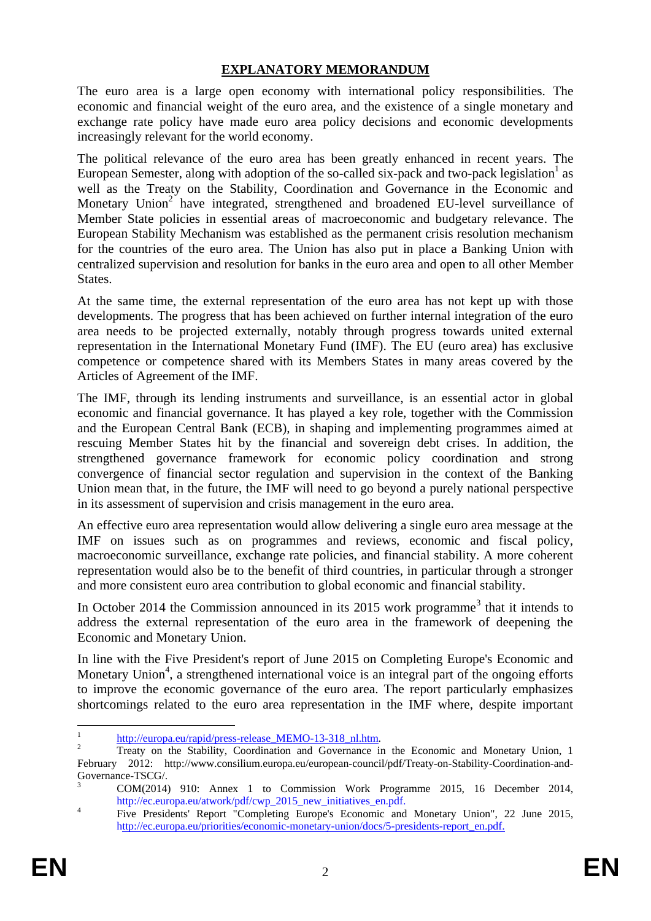## **EXPLANATORY MEMORANDUM**

The euro area is a large open economy with international policy responsibilities. The economic and financial weight of the euro area, and the existence of a single monetary and exchange rate policy have made euro area policy decisions and economic developments increasingly relevant for the world economy.

The political relevance of the euro area has been greatly enhanced in recent years. The European Semester, along with adoption of the so-called six-pack and two-pack legislation<sup>1</sup> as well as the Treaty on the Stability, Coordination and Governance in the Economic and Monetary Union<sup>2</sup> have integrated, strengthened and broadened EU-level surveillance of Member State policies in essential areas of macroeconomic and budgetary relevance. The European Stability Mechanism was established as the permanent crisis resolution mechanism for the countries of the euro area. The Union has also put in place a Banking Union with centralized supervision and resolution for banks in the euro area and open to all other Member States.

At the same time, the external representation of the euro area has not kept up with those developments. The progress that has been achieved on further internal integration of the euro area needs to be projected externally, notably through progress towards united external representation in the International Monetary Fund (IMF). The EU (euro area) has exclusive competence or competence shared with its Members States in many areas covered by the Articles of Agreement of the IMF.

The IMF, through its lending instruments and surveillance, is an essential actor in global economic and financial governance. It has played a key role, together with the Commission and the European Central Bank (ECB), in shaping and implementing programmes aimed at rescuing Member States hit by the financial and sovereign debt crises. In addition, the strengthened governance framework for economic policy coordination and strong convergence of financial sector regulation and supervision in the context of the Banking Union mean that, in the future, the IMF will need to go beyond a purely national perspective in its assessment of supervision and crisis management in the euro area.

An effective euro area representation would allow delivering a single euro area message at the IMF on issues such as on programmes and reviews, economic and fiscal policy, macroeconomic surveillance, exchange rate policies, and financial stability. A more coherent representation would also be to the benefit of third countries, in particular through a stronger and more consistent euro area contribution to global economic and financial stability.

In October 2014 the Commission announced in its 2015 work programme<sup>3</sup> that it intends to address the external representation of the euro area in the framework of deepening the Economic and Monetary Union.

In line with the Five President's report of June 2015 on Completing Europe's Economic and Monetary Union<sup>4</sup>, a strengthened international voice is an integral part of the ongoing efforts to improve the economic governance of the euro area. The report particularly emphasizes shortcomings related to the euro area representation in the IMF where, despite important

 $\frac{1}{1}$ http://europa.eu/rapid/press-release\_MEMO-13-318\_nl.htm.

<sup>&</sup>lt;sup>2</sup> Treaty on the Stability, Coordination and Governance in the Economic and Monetary Union, 1 February 2012: http://www.consilium.europa.eu/european-council/pdf/Treaty-on-Stability-Coordination-and-Governance-TSCG/.

<sup>3</sup> COM(2014) 910: Annex 1 to Commission Work Programme 2015, 16 December 2014, http://ec.europa.eu/atwork/pdf/cwp\_2015\_new\_initiatives\_en.pdf.

<sup>4</sup> Five Presidents' Report "Completing Europe's Economic and Monetary Union", 22 June 2015, http://ec.europa.eu/priorities/economic-monetary-union/docs/5-presidents-report\_en.pdf.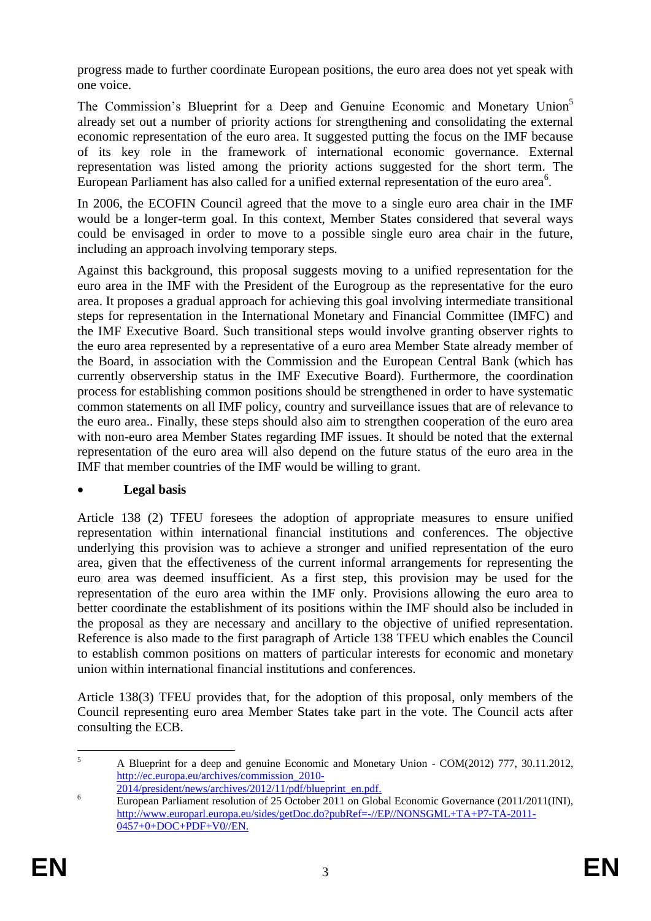progress made to further coordinate European positions, the euro area does not yet speak with one voice.

The Commission's Blueprint for a Deep and Genuine Economic and Monetary Union<sup>5</sup> already set out a number of priority actions for strengthening and consolidating the external economic representation of the euro area. It suggested putting the focus on the IMF because of its key role in the framework of international economic governance. External representation was listed among the priority actions suggested for the short term. The European Parliament has also called for a unified external representation of the euro area<sup>6</sup>.

In 2006, the ECOFIN Council agreed that the move to a single euro area chair in the IMF would be a longer-term goal. In this context, Member States considered that several ways could be envisaged in order to move to a possible single euro area chair in the future, including an approach involving temporary steps*.*

Against this background, this proposal suggests moving to a unified representation for the euro area in the IMF with the President of the Eurogroup as the representative for the euro area. It proposes a gradual approach for achieving this goal involving intermediate transitional steps for representation in the International Monetary and Financial Committee (IMFC) and the IMF Executive Board. Such transitional steps would involve granting observer rights to the euro area represented by a representative of a euro area Member State already member of the Board, in association with the Commission and the European Central Bank (which has currently observership status in the IMF Executive Board). Furthermore, the coordination process for establishing common positions should be strengthened in order to have systematic common statements on all IMF policy, country and surveillance issues that are of relevance to the euro area.. Finally, these steps should also aim to strengthen cooperation of the euro area with non-euro area Member States regarding IMF issues. It should be noted that the external representation of the euro area will also depend on the future status of the euro area in the IMF that member countries of the IMF would be willing to grant.

## **Legal basis**

Article 138 (2) TFEU foresees the adoption of appropriate measures to ensure unified representation within international financial institutions and conferences. The objective underlying this provision was to achieve a stronger and unified representation of the euro area, given that the effectiveness of the current informal arrangements for representing the euro area was deemed insufficient. As a first step, this provision may be used for the representation of the euro area within the IMF only. Provisions allowing the euro area to better coordinate the establishment of its positions within the IMF should also be included in the proposal as they are necessary and ancillary to the objective of unified representation. Reference is also made to the first paragraph of Article 138 TFEU which enables the Council to establish common positions on matters of particular interests for economic and monetary union within international financial institutions and conferences.

Article 138(3) TFEU provides that, for the adoption of this proposal, only members of the Council representing euro area Member States take part in the vote. The Council acts after consulting the ECB.

 $\overline{5}$ <sup>5</sup> A Blueprint for a deep and genuine Economic and Monetary Union - COM(2012) 777, 30.11.2012, http://ec.europa.eu/archives/commission\_2010- 2014/president/news/archives/2012/11/pdf/blueprint\_en.pdf.

<sup>&</sup>lt;sup>6</sup> European Parliament resolution of 25 October 2011 on Global Economic Governance (2011/2011(INI), http://www.europarl.europa.eu/sides/getDoc.do?pubRef=-//EP//NONSGML+TA+P7-TA-2011- 0457+0+DOC+PDF+V0//EN.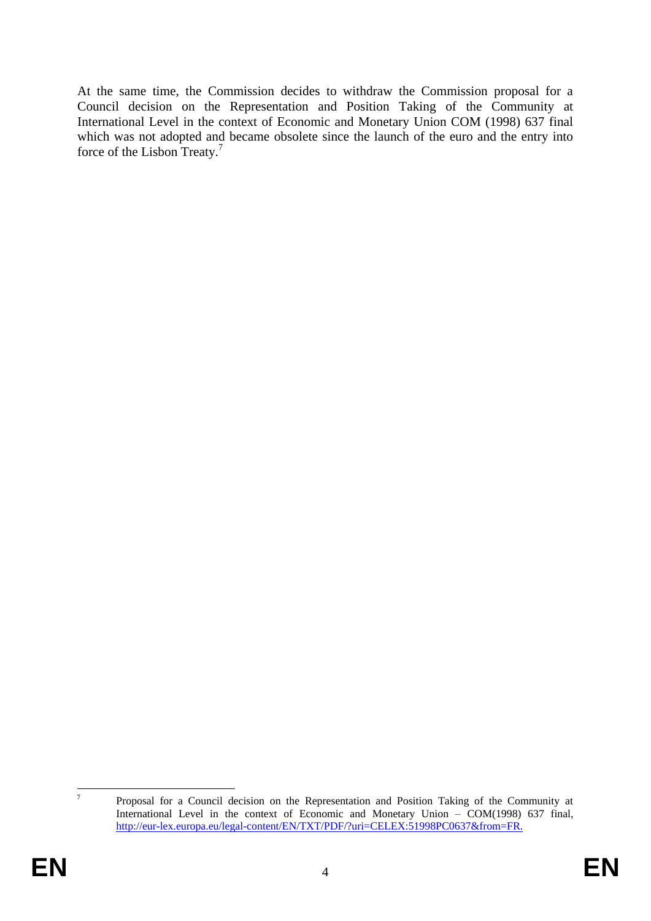At the same time, the Commission decides to withdraw the Commission proposal for a Council decision on the Representation and Position Taking of the Community at International Level in the context of Economic and Monetary Union COM (1998) 637 final which was not adopted and became obsolete since the launch of the euro and the entry into force of the Lisbon Treaty.<sup>7</sup>

 $\frac{1}{7}$ 

Proposal for a Council decision on the Representation and Position Taking of the Community at International Level in the context of Economic and Monetary Union – COM(1998) 637 final, http://eur-lex.europa.eu/legal-content/EN/TXT/PDF/?uri=CELEX:51998PC0637&from=FR.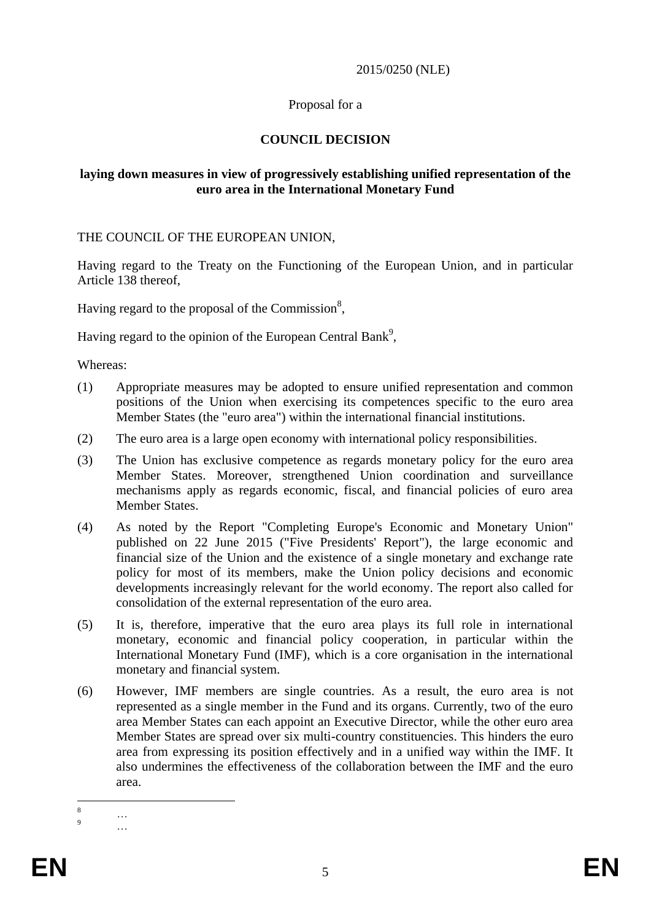### 2015/0250 (NLE)

## Proposal for a

## **COUNCIL DECISION**

### **laying down measures in view of progressively establishing unified representation of the euro area in the International Monetary Fund**

THE COUNCIL OF THE EUROPEAN UNION,

Having regard to the Treaty on the Functioning of the European Union, and in particular Article 138 thereof,

Having regard to the proposal of the Commission $^{8}$ ,

Having regard to the opinion of the European Central Bank<sup>9</sup>,

Whereas:

- (1) Appropriate measures may be adopted to ensure unified representation and common positions of the Union when exercising its competences specific to the euro area Member States (the "euro area") within the international financial institutions.
- (2) The euro area is a large open economy with international policy responsibilities.
- (3) The Union has exclusive competence as regards monetary policy for the euro area Member States. Moreover, strengthened Union coordination and surveillance mechanisms apply as regards economic, fiscal, and financial policies of euro area Member States.
- (4) As noted by the Report "Completing Europe's Economic and Monetary Union" published on 22 June 2015 ("Five Presidents' Report"), the large economic and financial size of the Union and the existence of a single monetary and exchange rate policy for most of its members, make the Union policy decisions and economic developments increasingly relevant for the world economy. The report also called for consolidation of the external representation of the euro area.
- (5) It is, therefore, imperative that the euro area plays its full role in international monetary, economic and financial policy cooperation, in particular within the International Monetary Fund (IMF), which is a core organisation in the international monetary and financial system.
- (6) However, IMF members are single countries. As a result, the euro area is not represented as a single member in the Fund and its organs. Currently, two of the euro area Member States can each appoint an Executive Director, while the other euro area Member States are spread over six multi-country constituencies. This hinders the euro area from expressing its position effectively and in a unified way within the IMF. It also undermines the effectiveness of the collaboration between the IMF and the euro area.

<sup>8</sup>  $\begin{array}{ccc}\n8 & & \dots \\
9 & & \dots\n\end{array}$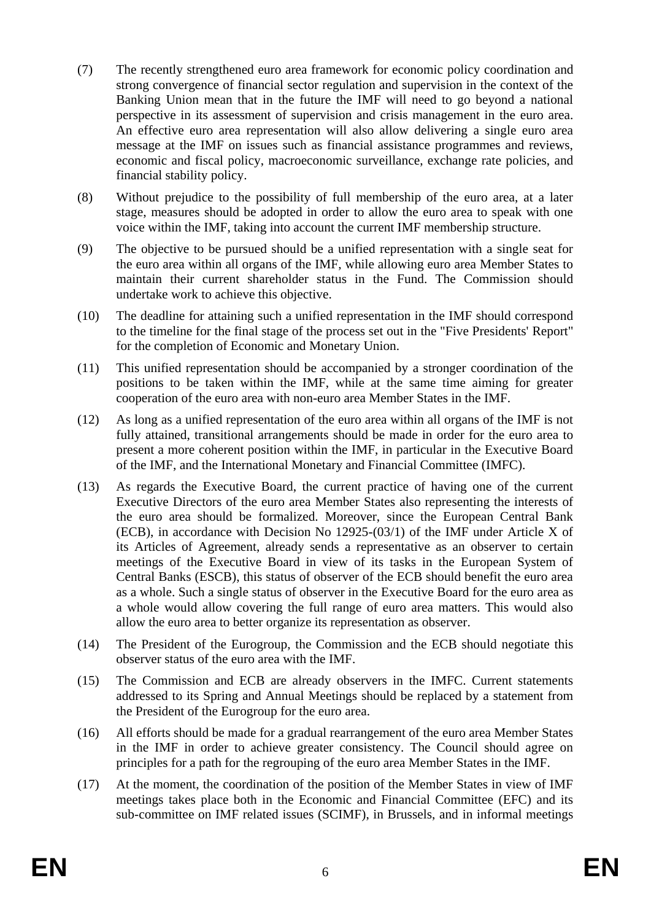- (7) The recently strengthened euro area framework for economic policy coordination and strong convergence of financial sector regulation and supervision in the context of the Banking Union mean that in the future the IMF will need to go beyond a national perspective in its assessment of supervision and crisis management in the euro area. An effective euro area representation will also allow delivering a single euro area message at the IMF on issues such as financial assistance programmes and reviews, economic and fiscal policy, macroeconomic surveillance, exchange rate policies, and financial stability policy.
- (8) Without prejudice to the possibility of full membership of the euro area, at a later stage, measures should be adopted in order to allow the euro area to speak with one voice within the IMF, taking into account the current IMF membership structure.
- (9) The objective to be pursued should be a unified representation with a single seat for the euro area within all organs of the IMF, while allowing euro area Member States to maintain their current shareholder status in the Fund. The Commission should undertake work to achieve this objective.
- (10) The deadline for attaining such a unified representation in the IMF should correspond to the timeline for the final stage of the process set out in the "Five Presidents' Report" for the completion of Economic and Monetary Union.
- (11) This unified representation should be accompanied by a stronger coordination of the positions to be taken within the IMF, while at the same time aiming for greater cooperation of the euro area with non-euro area Member States in the IMF.
- (12) As long as a unified representation of the euro area within all organs of the IMF is not fully attained, transitional arrangements should be made in order for the euro area to present a more coherent position within the IMF, in particular in the Executive Board of the IMF, and the International Monetary and Financial Committee (IMFC).
- (13) As regards the Executive Board, the current practice of having one of the current Executive Directors of the euro area Member States also representing the interests of the euro area should be formalized. Moreover, since the European Central Bank (ECB), in accordance with Decision No 12925-(03/1) of the IMF under Article X of its Articles of Agreement, already sends a representative as an observer to certain meetings of the Executive Board in view of its tasks in the European System of Central Banks (ESCB), this status of observer of the ECB should benefit the euro area as a whole. Such a single status of observer in the Executive Board for the euro area as a whole would allow covering the full range of euro area matters. This would also allow the euro area to better organize its representation as observer.
- (14) The President of the Eurogroup, the Commission and the ECB should negotiate this observer status of the euro area with the IMF.
- (15) The Commission and ECB are already observers in the IMFC. Current statements addressed to its Spring and Annual Meetings should be replaced by a statement from the President of the Eurogroup for the euro area.
- (16) All efforts should be made for a gradual rearrangement of the euro area Member States in the IMF in order to achieve greater consistency. The Council should agree on principles for a path for the regrouping of the euro area Member States in the IMF.
- (17) At the moment, the coordination of the position of the Member States in view of IMF meetings takes place both in the Economic and Financial Committee (EFC) and its sub-committee on IMF related issues (SCIMF), in Brussels, and in informal meetings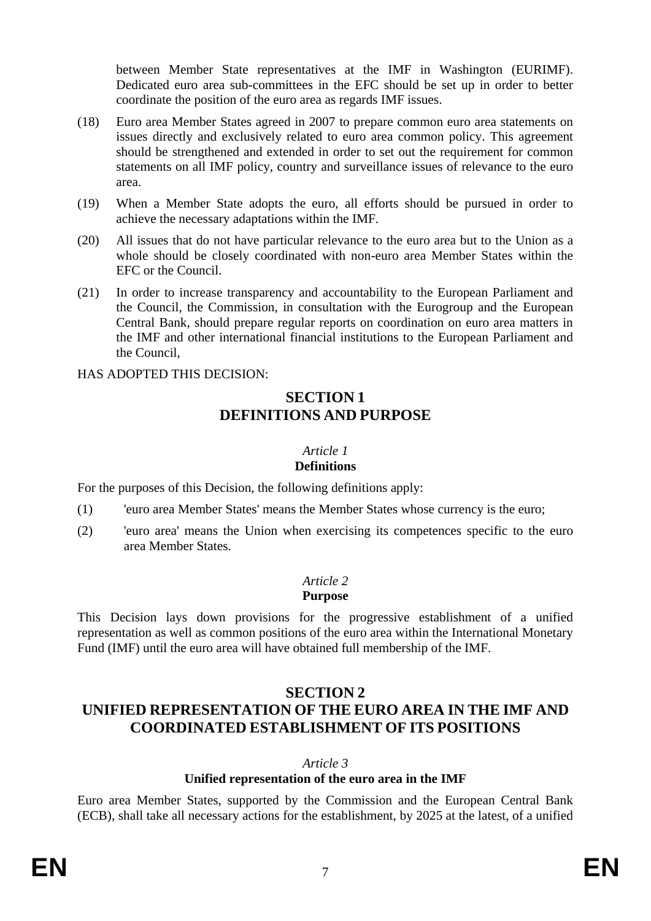between Member State representatives at the IMF in Washington (EURIMF). Dedicated euro area sub-committees in the EFC should be set up in order to better coordinate the position of the euro area as regards IMF issues.

- (18) Euro area Member States agreed in 2007 to prepare common euro area statements on issues directly and exclusively related to euro area common policy. This agreement should be strengthened and extended in order to set out the requirement for common statements on all IMF policy, country and surveillance issues of relevance to the euro area.
- (19) When a Member State adopts the euro, all efforts should be pursued in order to achieve the necessary adaptations within the IMF.
- (20) All issues that do not have particular relevance to the euro area but to the Union as a whole should be closely coordinated with non-euro area Member States within the EFC or the Council.
- (21) In order to increase transparency and accountability to the European Parliament and the Council, the Commission, in consultation with the Eurogroup and the European Central Bank, should prepare regular reports on coordination on euro area matters in the IMF and other international financial institutions to the European Parliament and the Council,

HAS ADOPTED THIS DECISION:

## **SECTION 1 DEFINITIONS AND PURPOSE**

#### *Article 1*

## **Definitions**

For the purposes of this Decision, the following definitions apply:

- (1) 'euro area Member States' means the Member States whose currency is the euro;
- (2) 'euro area' means the Union when exercising its competences specific to the euro area Member States.

## *Article 2*

#### **Purpose**

This Decision lays down provisions for the progressive establishment of a unified representation as well as common positions of the euro area within the International Monetary Fund (IMF) until the euro area will have obtained full membership of the IMF.

# **SECTION 2**

# **UNIFIED REPRESENTATION OF THE EURO AREA IN THE IMF AND COORDINATED ESTABLISHMENT OF ITS POSITIONS**

*Article 3*

## **Unified representation of the euro area in the IMF**

Euro area Member States, supported by the Commission and the European Central Bank (ECB), shall take all necessary actions for the establishment, by 2025 at the latest, of a unified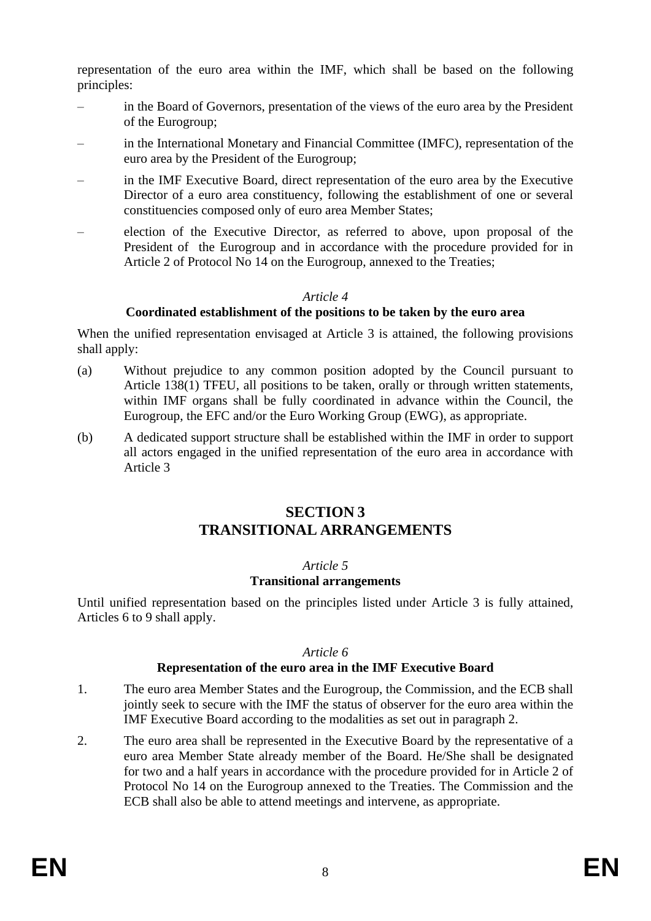representation of the euro area within the IMF, which shall be based on the following principles:

- in the Board of Governors, presentation of the views of the euro area by the President of the Eurogroup;
- in the International Monetary and Financial Committee (IMFC), representation of the euro area by the President of the Eurogroup;
- in the IMF Executive Board, direct representation of the euro area by the Executive Director of a euro area constituency, following the establishment of one or several constituencies composed only of euro area Member States;
- election of the Executive Director, as referred to above, upon proposal of the President of the Eurogroup and in accordance with the procedure provided for in Article 2 of Protocol No 14 on the Eurogroup, annexed to the Treaties;

#### *Article 4*

## **Coordinated establishment of the positions to be taken by the euro area**

When the unified representation envisaged at Article 3 is attained, the following provisions shall apply:

- (a) Without prejudice to any common position adopted by the Council pursuant to Article 138(1) TFEU, all positions to be taken, orally or through written statements, within IMF organs shall be fully coordinated in advance within the Council, the Eurogroup, the EFC and/or the Euro Working Group (EWG), as appropriate.
- (b) A dedicated support structure shall be established within the IMF in order to support all actors engaged in the unified representation of the euro area in accordance with Article 3

## **SECTION 3 TRANSITIONAL ARRANGEMENTS**

## *Article 5*

## **Transitional arrangements**

Until unified representation based on the principles listed under Article 3 is fully attained, Articles 6 to 9 shall apply.

#### *Article 6*

## **Representation of the euro area in the IMF Executive Board**

- 1. The euro area Member States and the Eurogroup, the Commission, and the ECB shall jointly seek to secure with the IMF the status of observer for the euro area within the IMF Executive Board according to the modalities as set out in paragraph 2.
- 2. The euro area shall be represented in the Executive Board by the representative of a euro area Member State already member of the Board. He/She shall be designated for two and a half years in accordance with the procedure provided for in Article 2 of Protocol No 14 on the Eurogroup annexed to the Treaties. The Commission and the ECB shall also be able to attend meetings and intervene, as appropriate.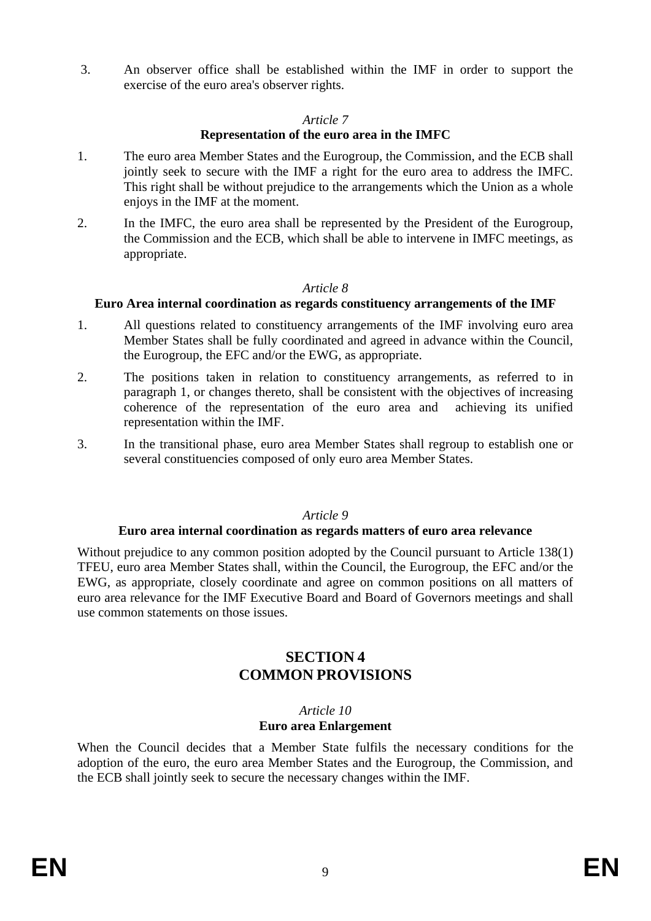3. An observer office shall be established within the IMF in order to support the exercise of the euro area's observer rights.

## *Article 7*

## **Representation of the euro area in the IMFC**

- 1. The euro area Member States and the Eurogroup, the Commission, and the ECB shall jointly seek to secure with the IMF a right for the euro area to address the IMFC. This right shall be without prejudice to the arrangements which the Union as a whole enjoys in the IMF at the moment.
- 2. In the IMFC, the euro area shall be represented by the President of the Eurogroup, the Commission and the ECB, which shall be able to intervene in IMFC meetings, as appropriate.

## *Article 8*

## **Euro Area internal coordination as regards constituency arrangements of the IMF**

- 1. All questions related to constituency arrangements of the IMF involving euro area Member States shall be fully coordinated and agreed in advance within the Council, the Eurogroup, the EFC and/or the EWG, as appropriate.
- 2. The positions taken in relation to constituency arrangements, as referred to in paragraph 1, or changes thereto, shall be consistent with the objectives of increasing coherence of the representation of the euro area and achieving its unified representation within the IMF.
- 3. In the transitional phase, euro area Member States shall regroup to establish one or several constituencies composed of only euro area Member States.

## *Article 9*

#### **Euro area internal coordination as regards matters of euro area relevance**

Without prejudice to any common position adopted by the Council pursuant to Article 138(1) TFEU, euro area Member States shall, within the Council, the Eurogroup, the EFC and/or the EWG, as appropriate, closely coordinate and agree on common positions on all matters of euro area relevance for the IMF Executive Board and Board of Governors meetings and shall use common statements on those issues.

## **SECTION 4 COMMON PROVISIONS**

#### *Article 10*

#### **Euro area Enlargement**

When the Council decides that a Member State fulfils the necessary conditions for the adoption of the euro, the euro area Member States and the Eurogroup, the Commission, and the ECB shall jointly seek to secure the necessary changes within the IMF.